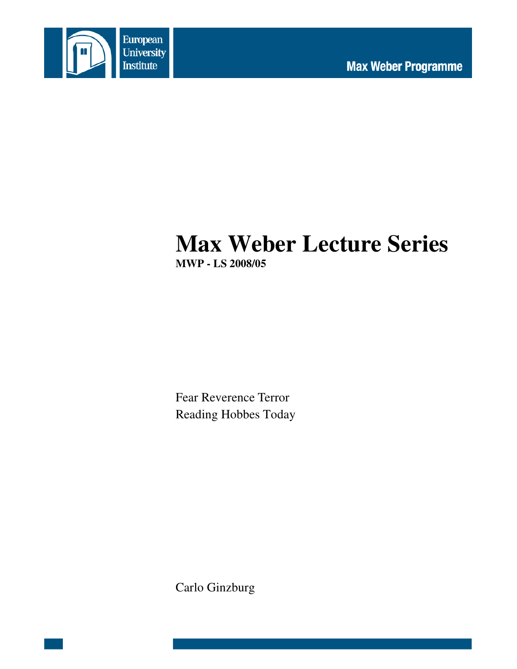

# **Max Weber Lecture Series MWP - LS 2008/05**

Fear Reverence Terror Reading Hobbes Today

Carlo Ginzburg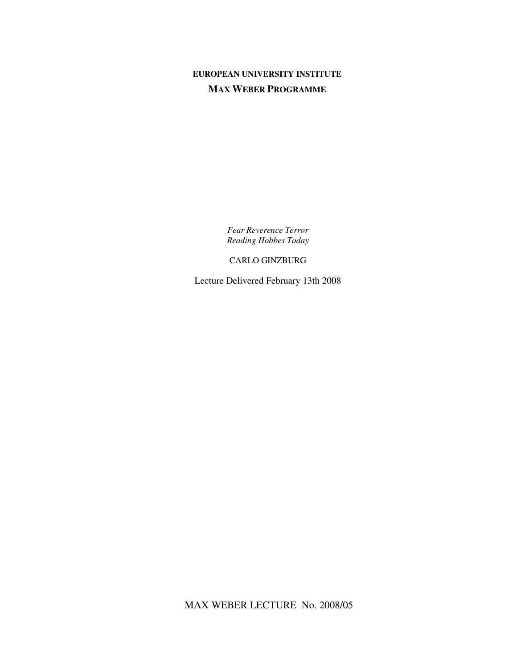# **EUROPEAN UNIVERSITY INSTITUTE MAX WEBER PROGRAMME**

*Fear Reverence Terror Reading Hobbes Today*

CARLO GINZBURG

Lecture Delivered February 13th 2008

MAX WEBER LECTURE No. 2008/05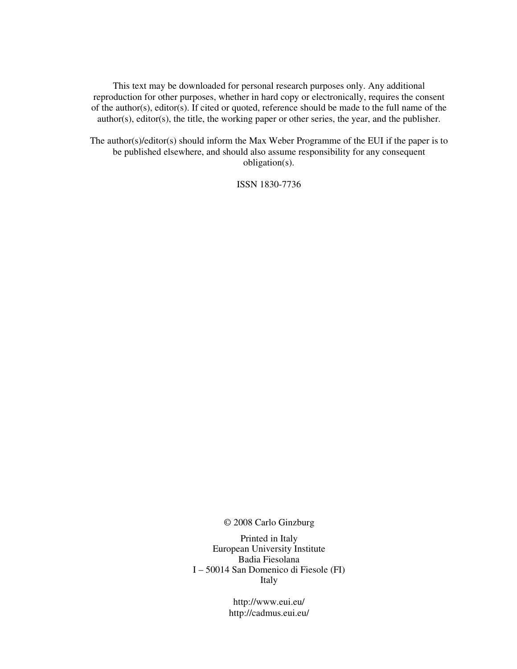This text may be downloaded for personal research purposes only. Any additional reproduction for other purposes, whether in hard copy or electronically, requires the consent of the author(s), editor(s). If cited or quoted, reference should be made to the full name of the author(s), editor(s), the title, the working paper or other series, the year, and the publisher.

The author(s)/editor(s) should inform the Max Weber Programme of the EUI if the paper is to be published elsewhere, and should also assume responsibility for any consequent obligation(s).

ISSN 1830-7736

© 2008 Carlo Ginzburg

Printed in Italy European University Institute Badia Fiesolana I – 50014 San Domenico di Fiesole (FI) Italy

> http://www.eui.eu/ http://cadmus.eui.eu/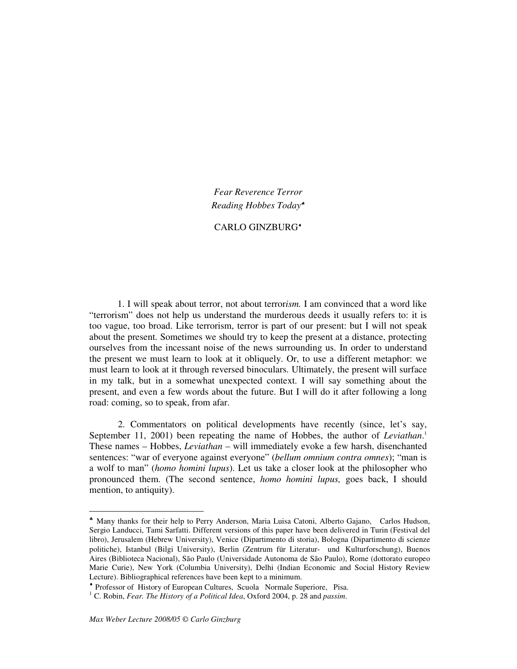*Fear Reverence Terror Reading Hobbes Today* ♣

## CARLO GINZBURG ♦

1. I will speak about terror, not about terror*ism.* I am convinced that a word like "terrorism" does not help us understand the murderous deeds it usually refers to: it is too vague, too broad. Like terrorism, terror is part of our present: but I will not speak about the present. Sometimes we should try to keep the present at a distance, protecting ourselves from the incessant noise of the news surrounding us. In order to understand the present we must learn to look at it obliquely. Or, to use a different metaphor: we must learn to look at it through reversed binoculars. Ultimately, the present will surface in my talk, but in a somewhat unexpected context. I will say something about the present, and even a few words about the future. But I will do it after following a long road: coming, so to speak, from afar.

2. Commentators on political developments have recently (since, let's say, September 11, 2001) been repeating the name of Hobbes, the author of *Leviathan*.<sup>1</sup> These names – Hobbes, *Leviathan* – will immediately evoke a few harsh, disenchanted sentences: "war of everyone against everyone" (*bellum omnium contra omnes*); "man is a wolf to man" (*homo homini lupus*). Let us take a closer look at the philosopher who pronounced them. (The second sentence, *homo homini lupus,* goes back, I should mention, to antiquity).

<sup>♣</sup> Many thanks for their help to Perry Anderson, Maria Luisa Catoni, Alberto Gajano, Carlos Hudson, Sergio Landucci, Tami Sarfatti. Different versions of this paper have been delivered in Turin (Festival del libro), Jerusalem (Hebrew University), Venice (Dipartimento di storia), Bologna (Dipartimento di scienze politiche), Istanbul (Bilgi University), Berlin (Zentrum für Literatur- und Kulturforschung), Buenos Aires (Biblioteca Nacional), São Paulo (Universidade Autonoma de São Paulo), Rome (dottorato europeo Marie Curie), New York (Columbia University), Delhi (Indian Economic and Social History Review Lecture). Bibliographical references have been kept to a minimum.

<sup>♦</sup> Professor of History of European Cultures, Scuola Normale Superiore, Pisa.

<sup>1</sup> C. Robin, *Fear. The History of a Political Idea*, Oxford 2004, p. 28 and *passim*.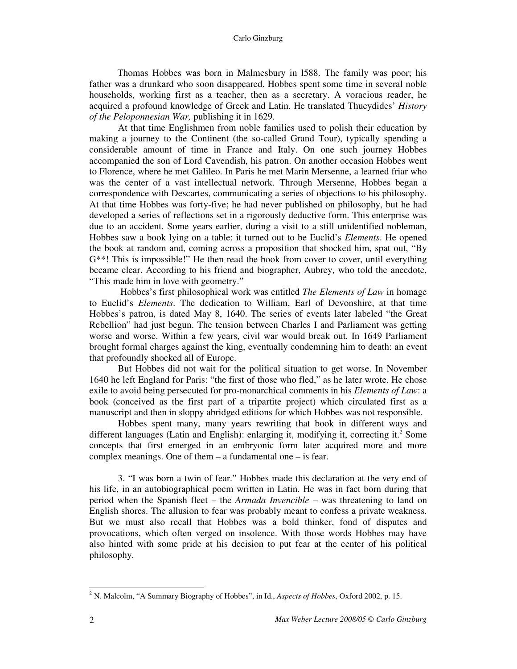Thomas Hobbes was born in Malmesbury in l588. The family was poor; his father was a drunkard who soon disappeared. Hobbes spent some time in several noble households, working first as a teacher, then as a secretary. A voracious reader, he acquired a profound knowledge of Greek and Latin. He translated Thucydides' *History of the Peloponnesian War,* publishing it in 1629.

At that time Englishmen from noble families used to polish their education by making a journey to the Continent (the so-called Grand Tour), typically spending a considerable amount of time in France and Italy. On one such journey Hobbes accompanied the son of Lord Cavendish, his patron. On another occasion Hobbes went to Florence, where he met Galileo. In Paris he met Marin Mersenne, a learned friar who was the center of a vast intellectual network. Through Mersenne, Hobbes began a correspondence with Descartes, communicating a series of objections to his philosophy. At that time Hobbes was forty-five; he had never published on philosophy, but he had developed a series of reflections set in a rigorously deductive form. This enterprise was due to an accident. Some years earlier, during a visit to a still unidentified nobleman, Hobbes saw a book lying on a table: it turned out to be Euclid's *Elements*. He opened the book at random and, coming across a proposition that shocked him, spat out, "By G\*\*! This is impossible!" He then read the book from cover to cover, until everything became clear. According to his friend and biographer, Aubrey, who told the anecdote, "This made him in love with geometry."

Hobbes's first philosophical work was entitled *The Elements of Law* in homage to Euclid's *Elements*. The dedication to William, Earl of Devonshire, at that time Hobbes's patron, is dated May 8, 1640. The series of events later labeled "the Great Rebellion" had just begun. The tension between Charles I and Parliament was getting worse and worse. Within a few years, civil war would break out. In 1649 Parliament brought formal charges against the king, eventually condemning him to death: an event that profoundly shocked all of Europe.

But Hobbes did not wait for the political situation to get worse. In November 1640 he left England for Paris: "the first of those who fled," as he later wrote. He chose exile to avoid being persecuted for pro-monarchical comments in his *Elements of Law*: a book (conceived as the first part of a tripartite project) which circulated first as a manuscript and then in sloppy abridged editions for which Hobbes was not responsible.

Hobbes spent many, many years rewriting that book in different ways and different languages (Latin and English): enlarging it, modifying it, correcting it. <sup>2</sup> Some concepts that first emerged in an embryonic form later acquired more and more complex meanings. One of them – a fundamental one – is fear.

3. "I was born a twin of fear." Hobbes made this declaration at the very end of his life, in an autobiographical poem written in Latin. He was in fact born during that period when the Spanish fleet – the *Armada Invencible* – was threatening to land on English shores. The allusion to fear was probably meant to confess a private weakness. But we must also recall that Hobbes was a bold thinker, fond of disputes and provocations, which often verged on insolence. With those words Hobbes may have also hinted with some pride at his decision to put fear at the center of his political philosophy.

<sup>2</sup> N. Malcolm, "A Summary Biography of Hobbes", in Id., *Aspects of Hobbes*, Oxford 2002, p. 15.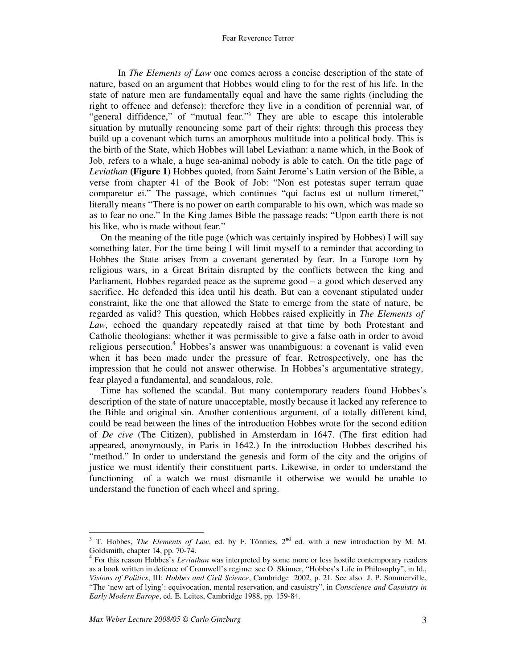In *The Elements of Law* one comes across a concise description of the state of nature, based on an argument that Hobbes would cling to for the rest of his life. In the state of nature men are fundamentally equal and have the same rights (including the right to offence and defense): therefore they live in a condition of perennial war, of "general diffidence," of "mutual fear."<sup>3</sup> They are able to escape this intolerable situation by mutually renouncing some part of their rights: through this process they build up a covenant which turns an amorphous multitude into a political body. This is the birth of the State, which Hobbes will label Leviathan: a name which, in the Book of Job, refers to a whale, a huge sea-animal nobody is able to catch. On the title page of *Leviathan* **(Figure 1)** Hobbes quoted, from Saint Jerome's Latin version of the Bible, a verse from chapter 41 of the Book of Job: "Non est potestas super terram quae comparetur ei." The passage, which continues "qui factus est ut nullum timeret," literally means "There is no power on earth comparable to his own, which was made so as to fear no one." In the King James Bible the passage reads: "Upon earth there is not his like, who is made without fear."

On the meaning of the title page (which was certainly inspired by Hobbes) I will say something later. For the time being I will limit myself to a reminder that according to Hobbes the State arises from a covenant generated by fear. In a Europe torn by religious wars, in a Great Britain disrupted by the conflicts between the king and Parliament, Hobbes regarded peace as the supreme good – a good which deserved any sacrifice. He defended this idea until his death. But can a covenant stipulated under constraint, like the one that allowed the State to emerge from the state of nature, be regarded as valid? This question, which Hobbes raised explicitly in *The Elements of Law,* echoed the quandary repeatedly raised at that time by both Protestant and Catholic theologians: whether it was permissible to give a false oath in order to avoid religious persecution. <sup>4</sup> Hobbes's answer was unambiguous: a covenant is valid even when it has been made under the pressure of fear. Retrospectively, one has the impression that he could not answer otherwise. In Hobbes's argumentative strategy, fear played a fundamental, and scandalous, role.

Time has softened the scandal. But many contemporary readers found Hobbes's description of the state of nature unacceptable, mostly because it lacked any reference to the Bible and original sin. Another contentious argument, of a totally different kind, could be read between the lines of the introduction Hobbes wrote for the second edition of *De cive* (The Citizen), published in Amsterdam in 1647. (The first edition had appeared, anonymously, in Paris in 1642.) In the introduction Hobbes described his "method." In order to understand the genesis and form of the city and the origins of justice we must identify their constituent parts. Likewise, in order to understand the functioning of a watch we must dismantle it otherwise we would be unable to understand the function of each wheel and spring.

 $3$  T. Hobbes, *The Elements of Law*, ed. by F. Tönnies,  $2^{nd}$  ed. with a new introduction by M. M. Goldsmith, chapter 14, pp. 70-74.

<sup>4</sup> For this reason Hobbes's *Leviathan* was interpreted by some more or less hostile contemporary readers as a book written in defence of Cromwell's regime: see O. Skinner, "Hobbes's Life in Philosophy", in Id., *Visions of Politics*, III: *Hobbes and Civil Science*, Cambridge 2002, p. 21. See also J. P. Sommerville, "The 'new art of lying': equivocation, mental reservation, and casuistry", in *Conscience and Casuistry in Early Modern Europe*, ed. E. Leites, Cambridge 1988, pp. 159-84.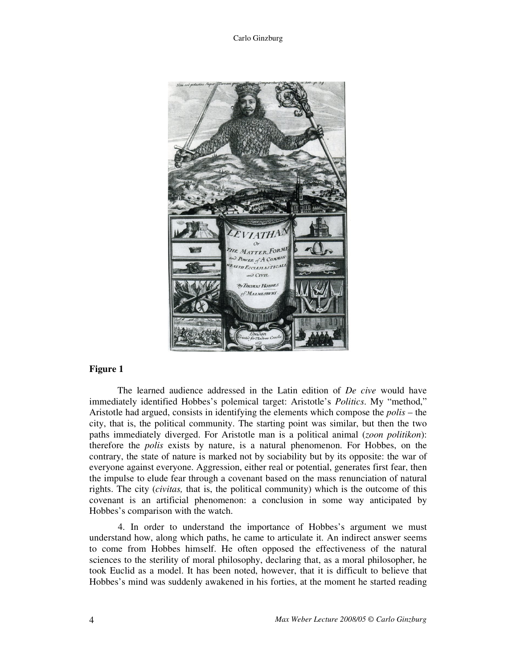

### **Figure 1**

The learned audience addressed in the Latin edition of *De cive* would have immediately identified Hobbes's polemical target: Aristotle's *Politics*. My "method," Aristotle had argued, consists in identifying the elements which compose the *polis* – the city, that is, the political community. The starting point was similar, but then the two paths immediately diverged. For Aristotle man is a political animal (*zoon politikon*): therefore the *polis* exists by nature, is a natural phenomenon. For Hobbes, on the contrary, the state of nature is marked not by sociability but by its opposite: the war of everyone against everyone. Aggression, either real or potential, generates first fear, then the impulse to elude fear through a covenant based on the mass renunciation of natural rights. The city (*civitas,* that is, the political community) which is the outcome of this covenant is an artificial phenomenon: a conclusion in some way anticipated by Hobbes's comparison with the watch.

4. In order to understand the importance of Hobbes's argument we must understand how, along which paths, he came to articulate it. An indirect answer seems to come from Hobbes himself. He often opposed the effectiveness of the natural sciences to the sterility of moral philosophy, declaring that, as a moral philosopher, he took Euclid as a model. It has been noted, however, that it is difficult to believe that Hobbes's mind was suddenly awakened in his forties, at the moment he started reading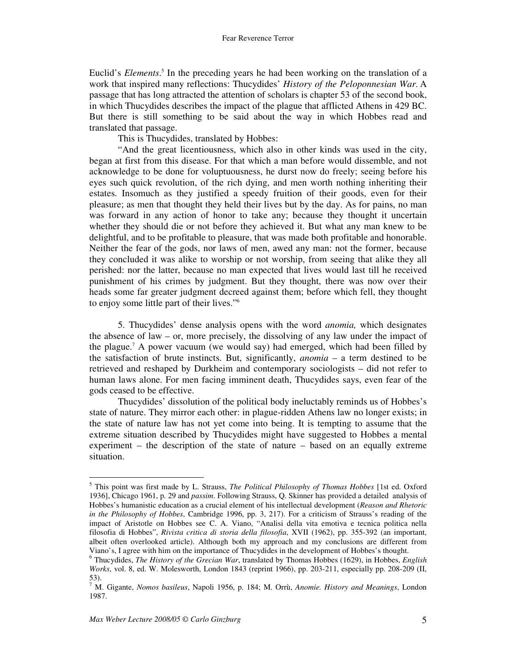Euclid's *Elements*. 5 In the preceding years he had been working on the translation of a work that inspired many reflections: Thucydides' *History of the Peloponnesian War*. A passage that has long attracted the attention of scholars is chapter 53 of the second book, in which Thucydides describes the impact of the plague that afflicted Athens in 429 BC. But there is still something to be said about the way in which Hobbes read and translated that passage.

This is Thucydides, translated by Hobbes:

"And the great licentiousness, which also in other kinds was used in the city, began at first from this disease. For that which a man before would dissemble, and not acknowledge to be done for voluptuousness, he durst now do freely; seeing before his eyes such quick revolution, of the rich dying, and men worth nothing inheriting their estates. Insomuch as they justified a speedy fruition of their goods, even for their pleasure; as men that thought they held their lives but by the day. As for pains, no man was forward in any action of honor to take any; because they thought it uncertain whether they should die or not before they achieved it. But what any man knew to be delightful, and to be profitable to pleasure, that was made both profitable and honorable. Neither the fear of the gods, nor laws of men, awed any man: not the former, because they concluded it was alike to worship or not worship, from seeing that alike they all perished: nor the latter, because no man expected that lives would last till he received punishment of his crimes by judgment. But they thought, there was now over their heads some far greater judgment decreed against them; before which fell, they thought to enjoy some little part of their lives." 6

5. Thucydides' dense analysis opens with the word *anomia,* which designates the absence of law – or, more precisely, the dissolving of any law under the impact of the plague. <sup>7</sup> A power vacuum (we would say) had emerged, which had been filled by the satisfaction of brute instincts. But, significantly, *anomia* – a term destined to be retrieved and reshaped by Durkheim and contemporary sociologists – did not refer to human laws alone. For men facing imminent death, Thucydides says, even fear of the gods ceased to be effective.

Thucydides' dissolution of the political body ineluctably reminds us of Hobbes's state of nature. They mirror each other: in plague-ridden Athens law no longer exists; in the state of nature law has not yet come into being. It is tempting to assume that the extreme situation described by Thucydides might have suggested to Hobbes a mental experiment – the description of the state of nature – based on an equally extreme situation.

<sup>5</sup> This point was first made by L. Strauss, *The Political Philosophy of Thomas Hobbes* [1st ed. Oxford 1936], Chicago 1961, p. 29 and *passim*. Following Strauss, Q. Skinner has provided a detailed analysis of Hobbes's humanistic education as a crucial element of his intellectual development (*Reason and Rhetoric in the Philosophy of Hobbes*, Cambridge 1996, pp. 3, 217). For a criticism of Strauss's reading of the impact of Aristotle on Hobbes see C. A. Viano, "Analisi della vita emotiva e tecnica politica nella filosofia di Hobbes", *Rivista critica di storia della filosofia*, XVII (1962), pp. 355-392 (an important, albeit often overlooked article). Although both my approach and my conclusions are different from Viano's, I agree with him on the importance of Thucydides in the development of Hobbes's thought.

<sup>6</sup> Thucydides, *The History of the Grecian War*, translated by Thomas Hobbes (1629), in Hobbes, *English Works*, vol. 8, ed. W. Molesworth, London 1843 (reprint 1966), pp. 203-211, especially pp. 208-209 (II, 53).

<sup>7</sup> M. Gigante, *Nomos basileus*, Napoli 1956, p. 184; M. Orrù, *Anomie. History and Meanings*, London 1987.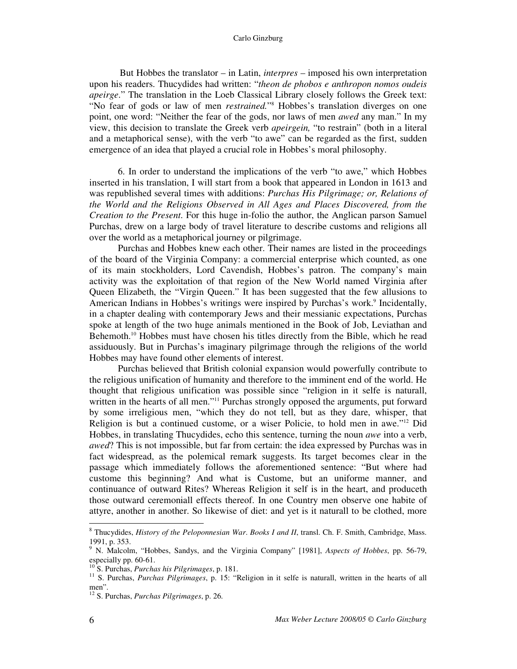But Hobbes the translator – in Latin, *interpres* – imposed his own interpretation upon his readers. Thucydides had written: "*theon de phobos e anthropon nomos oudeis apeirge*." The translation in the Loeb Classical Library closely follows the Greek text: "No fear of gods or law of men *restrained.*" <sup>8</sup> Hobbes's translation diverges on one point, one word: "Neither the fear of the gods, nor laws of men *awed* any man." In my view, this decision to translate the Greek verb *apeirgein,* "to restrain" (both in a literal and a metaphorical sense), with the verb "to awe" can be regarded as the first, sudden emergence of an idea that played a crucial role in Hobbes's moral philosophy.

6. In order to understand the implications of the verb "to awe," which Hobbes inserted in his translation, I will start from a book that appeared in London in 1613 and was republished several times with additions: *Purchas His Pilgrimage; or, Relations of the World and the Religions Observed in All Ages and Places Discovered, from the Creation to the Present*. For this huge in-folio the author, the Anglican parson Samuel Purchas, drew on a large body of travel literature to describe customs and religions all over the world as a metaphorical journey or pilgrimage.

Purchas and Hobbes knew each other. Their names are listed in the proceedings of the board of the Virginia Company: a commercial enterprise which counted, as one of its main stockholders, Lord Cavendish, Hobbes's patron. The company's main activity was the exploitation of that region of the New World named Virginia after Queen Elizabeth, the "Virgin Queen." It has been suggested that the few allusions to American Indians in Hobbes's writings were inspired by Purchas's work. 9 Incidentally, in a chapter dealing with contemporary Jews and their messianic expectations, Purchas spoke at length of the two huge animals mentioned in the Book of Job, Leviathan and Behemoth. <sup>10</sup> Hobbes must have chosen his titles directly from the Bible, which he read assiduously. But in Purchas's imaginary pilgrimage through the religions of the world Hobbes may have found other elements of interest.

Purchas believed that British colonial expansion would powerfully contribute to the religious unification of humanity and therefore to the imminent end of the world. He thought that religious unification was possible since "religion in it selfe is naturall, written in the hearts of all men."<sup>11</sup> Purchas strongly opposed the arguments, put forward by some irreligious men, "which they do not tell, but as they dare, whisper, that Religion is but a continued custome, or a wiser Policie, to hold men in awe."<sup>12</sup> Did Hobbes, in translating Thucydides, echo this sentence, turning the noun *awe* into a verb, *awed*? This is not impossible, but far from certain: the idea expressed by Purchas was in fact widespread, as the polemical remark suggests. Its target becomes clear in the passage which immediately follows the aforementioned sentence: "But where had custome this beginning? And what is Custome, but an uniforme manner, and continuance of outward Rites? Whereas Religion it self is in the heart, and produceth those outward ceremoniall effects thereof. In one Country men observe one habite of attyre, another in another. So likewise of diet: and yet is it naturall to be clothed, more

<sup>8</sup> Thucydides, *History of the Peloponnesian War*. *Books I and II*, transl. Ch. F. Smith, Cambridge, Mass. 1991, p. 353.

<sup>9</sup> N. Malcolm, "Hobbes, Sandys, and the Virginia Company" [1981], *Aspects of Hobbes*, pp. 56-79, especially pp.  $60-61$ .<br><sup>10</sup> S. Purches, *Purch*.

S. Purchas, *Purchas his Pilgrimages*, p. 181.

<sup>&</sup>lt;sup>11</sup> S. Purchas, *Purchas Pilgrimages*, p. 15: "Religion in it selfe is naturall, written in the hearts of all men".

<sup>12</sup> S. Purchas, *Purchas Pilgrimages*, p. 26.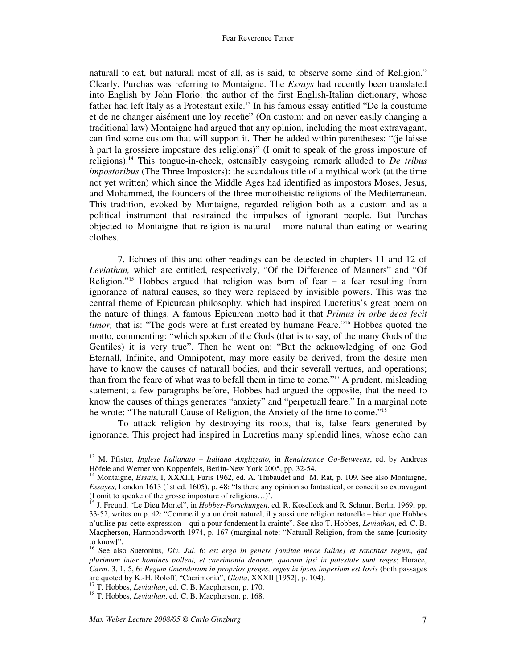naturall to eat, but naturall most of all, as is said, to observe some kind of Religion." Clearly, Purchas was referring to Montaigne. The *Essays* had recently been translated into English by John Florio: the author of the first English-Italian dictionary, whose father had left Italy as a Protestant exile. 13 In his famous essay entitled "De la coustume et de ne changer aisément une loy receüe" (On custom: and on never easily changing a traditional law) Montaigne had argued that any opinion, including the most extravagant, can find some custom that will support it. Then he added within parentheses: "(je laisse à part la grossiere imposture des religions)" (I omit to speak of the gross imposture of religions). <sup>14</sup> This tongue-in-cheek, ostensibly easygoing remark alluded to *De tribus impostoribus* (The Three Impostors): the scandalous title of a mythical work (at the time not yet written) which since the Middle Ages had identified as impostors Moses, Jesus, and Mohammed, the founders of the three monotheistic religions of the Mediterranean. This tradition, evoked by Montaigne, regarded religion both as a custom and as a political instrument that restrained the impulses of ignorant people. But Purchas objected to Montaigne that religion is natural – more natural than eating or wearing clothes.

7. Echoes of this and other readings can be detected in chapters 11 and 12 of *Leviathan,* which are entitled, respectively, "Of the Difference of Manners" and "Of Religion." <sup>15</sup> Hobbes argued that religion was born of fear – a fear resulting from ignorance of natural causes, so they were replaced by invisible powers. This was the central theme of Epicurean philosophy, which had inspired Lucretius's great poem on the nature of things. A famous Epicurean motto had it that *Primus in orbe deos fecit timor,* that is: "The gods were at first created by humane Feare." <sup>16</sup> Hobbes quoted the motto, commenting: "which spoken of the Gods (that is to say, of the many Gods of the Gentiles) it is very true". Then he went on: "But the acknowledging of one God Eternall, Infinite, and Omnipotent, may more easily be derived, from the desire men have to know the causes of naturall bodies, and their severall vertues, and operations; than from the feare of what was to befall them in time to come." <sup>17</sup> A prudent, misleading statement; a few paragraphs before, Hobbes had argued the opposite, that the need to know the causes of things generates "anxiety" and "perpetuall feare." In a marginal note he wrote: "The naturall Cause of Religion, the Anxiety of the time to come." 18

To attack religion by destroying its roots, that is, false fears generated by ignorance. This project had inspired in Lucretius many splendid lines, whose echo can

<sup>13</sup> M. Pfister*, Inglese Italianato – Italiano Anglizzato,* in *Renaissance Go-Betweens*, ed. by Andreas Höfele and Werner von Koppenfels, Berlin-New York 2005, pp. 32-54.

<sup>&</sup>lt;sup>14</sup> Montaigne, *Essais*, I, XXXIII, Paris 1962, ed. A. Thibaudet and M. Rat, p. 109. See also Montaigne, *Essayes*, London 1613 (1st ed. 1605), p. 48: "Is there any opinion so fantastical, or conceit so extravagant (I omit to speake of the grosse imposture of religions…)'.

<sup>&</sup>lt;sup>15</sup> J. Freund, "Le Dieu Mortel", in *Hobbes-Forschungen*, ed. R. Koselleck and R. Schnur, Berlin 1969, pp. 33-52, writes on p. 42: "Comme il y a un droit naturel, il y aussi une religion naturelle – bien que Hobbes n'utilise pas cette expression – qui a pour fondement la crainte". See also T. Hobbes, *Leviathan*, ed. C. B. Macpherson, Harmondsworth 1974, p. 167 (marginal note: "Naturall Religion, from the same [curiosity to know]".

<sup>16</sup> See also Suetonius, *Div. Jul*. 6: *est ergo in genere [amitae meae Iuliae] et sanctitas regum, qui plurimum inter homines pollent, et caerimonia deorum, quorum ipsi in potestate sunt reges*; Horace, *Carm*. 3, 1, 5, 6: *Regum timendorum in proprios greges, reges in ipsos imperium est Iovis* (both passages are quoted by K.-H. Roloff, "Caerimonia", *Glotta*, XXXII [1952], p. 104).

<sup>17</sup> T. Hobbes, *Leviathan*, ed. C. B. Macpherson, p. 170.

<sup>&</sup>lt;sup>18</sup> T. Hobbes, *Leviathan*, ed. C. B. Macpherson, p. 168.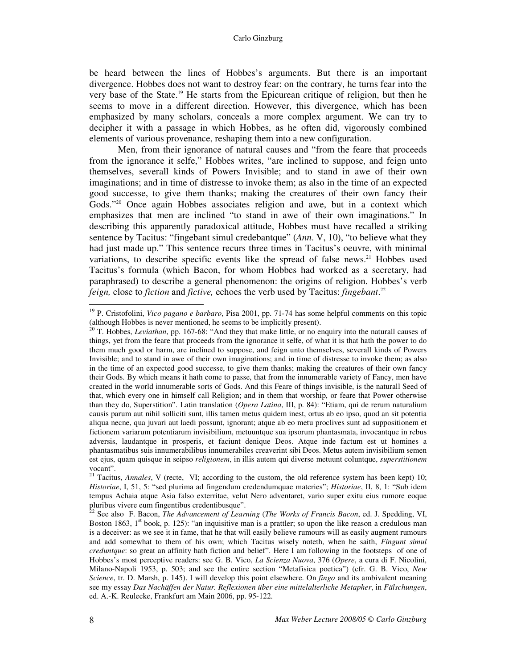be heard between the lines of Hobbes's arguments. But there is an important divergence. Hobbes does not want to destroy fear: on the contrary, he turns fear into the very base of the State. <sup>19</sup> He starts from the Epicurean critique of religion, but then he seems to move in a different direction. However, this divergence, which has been emphasized by many scholars, conceals a more complex argument. We can try to decipher it with a passage in which Hobbes, as he often did, vigorously combined elements of various provenance, reshaping them into a new configuration.

Men, from their ignorance of natural causes and "from the feare that proceeds from the ignorance it selfe," Hobbes writes, "are inclined to suppose, and feign unto themselves, severall kinds of Powers Invisible; and to stand in awe of their own imaginations; and in time of distresse to invoke them; as also in the time of an expected good successe, to give them thanks; making the creatures of their own fancy their Gods." <sup>20</sup> Once again Hobbes associates religion and awe, but in a context which emphasizes that men are inclined "to stand in awe of their own imaginations." In describing this apparently paradoxical attitude, Hobbes must have recalled a striking sentence by Tacitus: "fingebant simul credebantque" (*Ann*. V, 10), "to believe what they had just made up." This sentence recurs three times in Tacitus's oeuvre, with minimal variations, to describe specific events like the spread of false news.<sup>21</sup> Hobbes used Tacitus's formula (which Bacon, for whom Hobbes had worked as a secretary, had paraphrased) to describe a general phenomenon: the origins of religion. Hobbes's verb *feign,* close to *fiction* and *fictive,* echoes the verb used by Tacitus: *fingebant*. 22

<sup>&</sup>lt;sup>19</sup> P. Cristofolini, *Vico pagano e barbaro*, Pisa 2001, pp. 71-74 has some helpful comments on this topic (although Hobbes is never mentioned, he seems to be implicitly present).

<sup>&</sup>lt;sup>20</sup> T. Hobbes, *Leviathan*, pp. 167-68: "And they that make little, or no enquiry into the naturall causes of things, yet from the feare that proceeds from the ignorance it selfe, of what it is that hath the power to do them much good or harm, are inclined to suppose, and feign unto themselves, severall kinds of Powers Invisible; and to stand in awe of their own imaginations; and in time of distresse to invoke them; as also in the time of an expected good successe, to give them thanks; making the creatures of their own fancy their Gods. By which means it hath come to passe, that from the innumerable variety of Fancy, men have created in the world innumerable sorts of Gods. And this Feare of things invisible, is the naturall Seed of that, which every one in himself call Religion; and in them that worship, or feare that Power otherwise than they do, Superstition". Latin translation (*Opera Latina*, III, p. 84): "Etiam, qui de rerum naturalium causis parum aut nihil solliciti sunt, illis tamen metus quidem inest, ortus ab eo ipso, quod an sit potentia aliqua necne, qua juvari aut laedi possunt, ignorant; atque ab eo metu proclives sunt ad suppositionem et fictionem variarum potentiarum invisibilium, metuuntque sua ipsorum phantasmata, invocantque in rebus adversis, laudantque in prosperis, et faciunt denique Deos. Atque inde factum est ut homines a phantasmatibus suis innumerabilibus innumerabiles creaverint sibi Deos. Metus autem invisibilium semen est ejus, quam quisque in seipso *religionem*, in illis autem qui diverse metuunt coluntque, *superstitionem*

vocant". 21 Tacitus, *Annales*, V (recte, VI; according to the custom, the old reference system has been kept) 10; *Historiae*, I, 51, 5: "sed plurima ad fingendum credendumquae materies"; *Historiae*, II, 8, 1: "Sub idem tempus Achaia atque Asia falso exterritae, velut Nero adventaret, vario super exitu eius rumore eoque pluribus vivere eum fingentibus credentibusque".<br><sup>22</sup> See also. E. Beson. *The Advancement of Legr* 

See also F. Bacon, *The Advancement of Learning* (*The Works of Francis Bacon*, ed. J. Spedding, VI, Boston 1863, 1<sup>st</sup> book, p. 125): "an inquisitive man is a prattler; so upon the like reason a credulous man is a deceiver: as we see it in fame, that he that will easily believe rumours will as easily augment rumours and add somewhat to them of his own; which Tacitus wisely noteth, when he saith, *Fingunt simul creduntque*: so great an affinity hath fiction and belief". Here I am following in the footsteps of one of Hobbes's most perceptive readers: see G. B. Vico, *La Scienza Nuova*, 376 (*Opere*, a cura di F. Nicolini, Milano-Napoli 1953, p. 503; and see the entire section "Metafisica poetica") (cfr. G. B. Vico, *New Science*, tr. D. Marsh, p. 145). I will develop this point elsewhere. On *fingo* and its ambivalent meaning see my essay *Das Nachäffen der Natur. Reflexionen über eine mittelalterliche Metapher*, in *Fälschungen*, ed. A.-K. Reulecke, Frankfurt am Main 2006, pp. 95-122.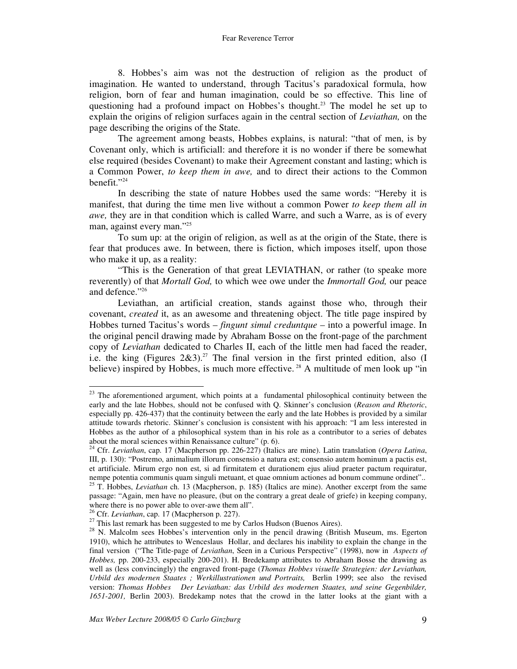8. Hobbes's aim was not the destruction of religion as the product of imagination. He wanted to understand, through Tacitus's paradoxical formula, how religion, born of fear and human imagination, could be so effective. This line of questioning had a profound impact on Hobbes's thought. <sup>23</sup> The model he set up to explain the origins of religion surfaces again in the central section of *Leviathan,* on the page describing the origins of the State.

The agreement among beasts, Hobbes explains, is natural: "that of men, is by Covenant only, which is artificiall: and therefore it is no wonder if there be somewhat else required (besides Covenant) to make their Agreement constant and lasting; which is a Common Power, *to keep them in awe,* and to direct their actions to the Common benefit." 24

In describing the state of nature Hobbes used the same words: "Hereby it is manifest, that during the time men live without a common Power *to keep them all in awe,* they are in that condition which is called Warre, and such a Warre, as is of every man, against every man." 25

To sum up: at the origin of religion, as well as at the origin of the State, there is fear that produces awe. In between, there is fiction, which imposes itself, upon those who make it up, as a reality:

"This is the Generation of that great LEVIATHAN, or rather (to speake more reverently) of that *Mortall God,* to which wee owe under the *Immortall God,* our peace and defence." 26

Leviathan, an artificial creation, stands against those who, through their covenant, *created* it, as an awesome and threatening object. The title page inspired by Hobbes turned Tacitus's words – *fingunt simul creduntque* – into a powerful image. In the original pencil drawing made by Abraham Bosse on the front-page of the parchment copy of *Leviathan* dedicated to Charles II, each of the little men had faced the reader, i.e. the king (Figures 2&3). <sup>27</sup> The final version in the first printed edition, also (I believe) inspired by Hobbes, is much more effective.<sup>28</sup> A multitude of men look up "in

 $23$  The aforementioned argument, which points at a fundamental philosophical continuity between the early and the late Hobbes, should not be confused with Q. Skinner's conclusion (*Reason and Rhetoric*, especially pp. 426-437) that the continuity between the early and the late Hobbes is provided by a similar attitude towards rhetoric. Skinner's conclusion is consistent with his approach: "I am less interested in Hobbes as the author of a philosophical system than in his role as a contributor to a series of debates about the moral sciences within Renaissance culture" (p. 6).

<sup>24</sup> Cfr. *Leviathan*, cap. 17 (Macpherson pp. 226-227) (Italics are mine). Latin translation (*Opera Latina*, III, p. 130): "Postremo, animalium illorum consensio a natura est; consensio autem hominum a pactis est, et artificiale. Mirum ergo non est, si ad firmitatem et durationem ejus aliud praeter pactum requiratur, nempe potentia communis quam singuli metuant, et quae omnium actiones ad bonum commune ordinet"..<br><sup>25</sup> T. Hobbes, *Leviathan* ch. 13 (Macpherson, p. 185) (Italics are mine). Another excerpt from the same

passage: "Again, men have no pleasure, (but on the contrary a great deale of griefe) in keeping company, where there is no power able to over-awe them all".

<sup>26</sup> Cfr. *Leviathan*, cap. 17 (Macpherson p. 227).

 $^{27}$  This last remark has been suggested to me by Carlos Hudson (Buenos Aires).

<sup>&</sup>lt;sup>28</sup> N. Malcolm sees Hobbes's intervention only in the pencil drawing (British Museum, ms. Egerton 1910), which he attributes to Wenceslaus Hollar, and declares his inability to explain the change in the final version ("The Title-page of *Leviathan*, Seen in a Curious Perspective" (1998), now in *Aspects of Hobbes,* pp. 200-233, especially 200-201). H. Bredekamp attributes to Abraham Bosse the drawing as well as (less convincingly) the engraved front-page (*Thomas Hobbes visuelle Strategien: der Leviathan, Urbild des modernen Staates ; Werkillustrationen und Portraits,* Berlin 1999; see also the revised version: *Thomas Hobbes Der Leviathan: das Urbild des modernen Staates, und seine Gegenbilder, 1651-2001,* Berlin 2003). Bredekamp notes that the crowd in the latter looks at the giant with a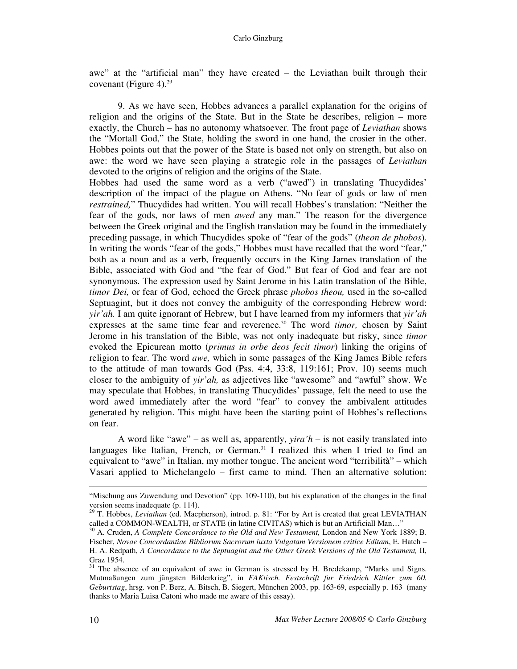awe" at the "artificial man" they have created – the Leviathan built through their covenant (Figure 4). 29

9. As we have seen, Hobbes advances a parallel explanation for the origins of religion and the origins of the State. But in the State he describes, religion – more exactly, the Church – has no autonomy whatsoever. The front page of *Leviathan* shows the "Mortall God," the State, holding the sword in one hand, the crosier in the other. Hobbes points out that the power of the State is based not only on strength, but also on awe: the word we have seen playing a strategic role in the passages of *Leviathan* devoted to the origins of religion and the origins of the State.

Hobbes had used the same word as a verb ("awed") in translating Thucydides' description of the impact of the plague on Athens. "No fear of gods or law of men *restrained,*" Thucydides had written. You will recall Hobbes's translation: "Neither the fear of the gods, nor laws of men *awed* any man." The reason for the divergence between the Greek original and the English translation may be found in the immediately preceding passage, in which Thucydides spoke of "fear of the gods" (*theon de phobos*). In writing the words "fear of the gods," Hobbes must have recalled that the word "fear," both as a noun and as a verb, frequently occurs in the King James translation of the Bible, associated with God and "the fear of God." But fear of God and fear are not synonymous. The expression used by Saint Jerome in his Latin translation of the Bible, *timor Dei,* or fear of God, echoed the Greek phrase *phobos theou,* used in the so-called Septuagint, but it does not convey the ambiguity of the corresponding Hebrew word: *yir'ah.* I am quite ignorant of Hebrew, but I have learned from my informers that *yir'ah* expresses at the same time fear and reverence. <sup>30</sup> The word *timor,* chosen by Saint Jerome in his translation of the Bible, was not only inadequate but risky, since *timor* evoked the Epicurean motto (*primus in orbe deos fecit timor*) linking the origins of religion to fear. The word *awe,* which in some passages of the King James Bible refers to the attitude of man towards God (Pss. 4:4, 33:8, 119:161; Prov. 10) seems much closer to the ambiguity of *yir'ah,* as adjectives like "awesome" and "awful" show. We may speculate that Hobbes, in translating Thucydides' passage, felt the need to use the word awed immediately after the word "fear" to convey the ambivalent attitudes generated by religion. This might have been the starting point of Hobbes's reflections on fear.

A word like "awe" – as well as, apparently, *yira'h* – is not easily translated into languages like Italian, French, or German.<sup>31</sup> I realized this when I tried to find an equivalent to "awe" in Italian, my mother tongue. The ancient word "terribilità" – which Vasari applied to Michelangelo – first came to mind. Then an alternative solution:

<sup>&</sup>quot;Mischung aus Zuwendung und Devotion" (pp. 109-110), but his explanation of the changes in the final version seems inadequate (p. 114).

<sup>&</sup>lt;sup>29</sup> T. Hobbes, *Leviathan* (ed. Macpherson), introd. p. 81: "For by Art is created that great LEVIATHAN called a COMMON-WEALTH, or STATE (in latine CIVITAS) which is but an Artificiall Man…"

<sup>30</sup> A. Cruden, *A Complete Concordance to the Old and New Testament,* London and New York 1889; B. Fischer, *Novae Concordantiae Bibliorum Sacrorum iuxta Vulgatam Versionem critice Editam*, E. Hatch – H. A. Redpath, *A Concordance to the Septuagint and the Other Greek Versions of the Old Testament,* II, Graz 1954.<br><sup>31</sup> The ebs

The absence of an equivalent of awe in German is stressed by H. Bredekamp, "Marks und Signs. Mutmaßungen zum jüngsten Bilderkrieg", in *FAKtisch. Festschrift fur Friedrich Kittler zum 60. Geburtstag*, hrsg. von P. Berz, A. Bitsch, B. Siegert, München 2003, pp. 163-69, especially p. 163 (many thanks to Maria Luisa Catoni who made me aware of this essay).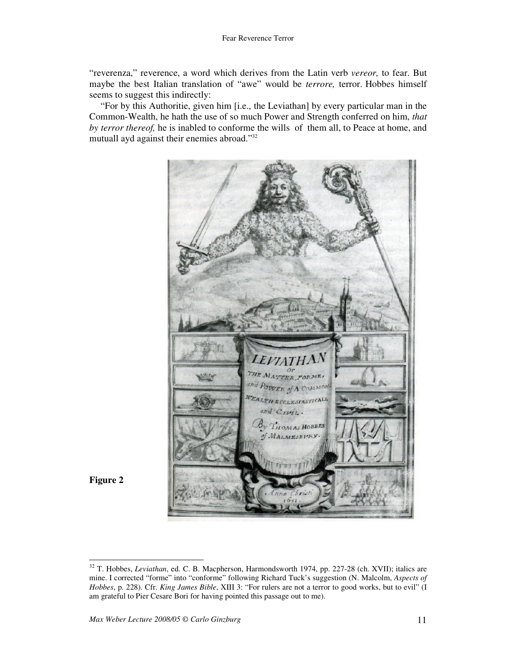"reverenza," reverence, a word which derives from the Latin verb *vereor,* to fear. But maybe the best Italian translation of "awe" would be *terrore,* terror. Hobbes himself seems to suggest this indirectly:

"For by this Authoritie, given him [i.e., the Leviathan] by every particular man in the Common-Wealth, he hath the use of so much Power and Strength conferred on him, *that by terror thereof,* he is inabled to conforme the wills of them all, to Peace at home, and mutuall ayd against their enemies abroad." 32





<sup>32</sup> T. Hobbes, *Leviathan*, ed. C. B. Macpherson, Harmondsworth 1974, pp. 227-28 (ch. XVII); italics are mine. I corrected "forme" into "conforme" following Richard Tuck's suggestion (N. Malcolm, *Aspects of Hobbes*, p. 228). Cfr. *King James Bible*, XIII 3: "For rulers are not a terror to good works, but to evil" (I am grateful to Pier Cesare Bori for having pointed this passage out to me).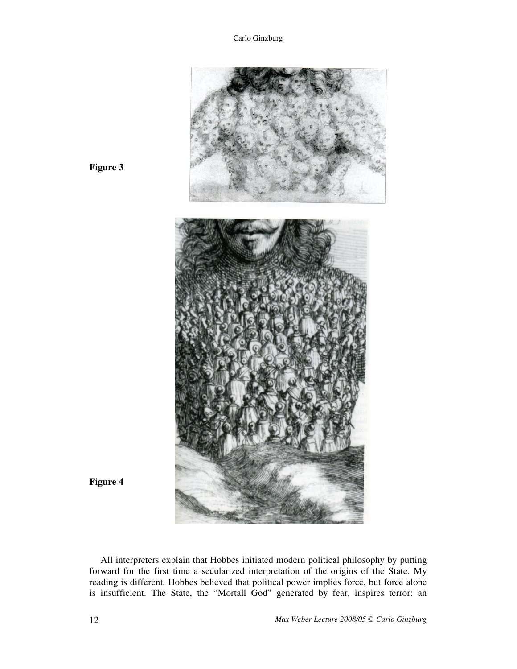

**Figure 3**

**Figure 4**

All interpreters explain that Hobbes initiated modern political philosophy by putting forward for the first time a secularized interpretation of the origins of the State. My reading is different. Hobbes believed that political power implies force, but force alone is insufficient. The State, the "Mortall God" generated by fear, inspires terror: an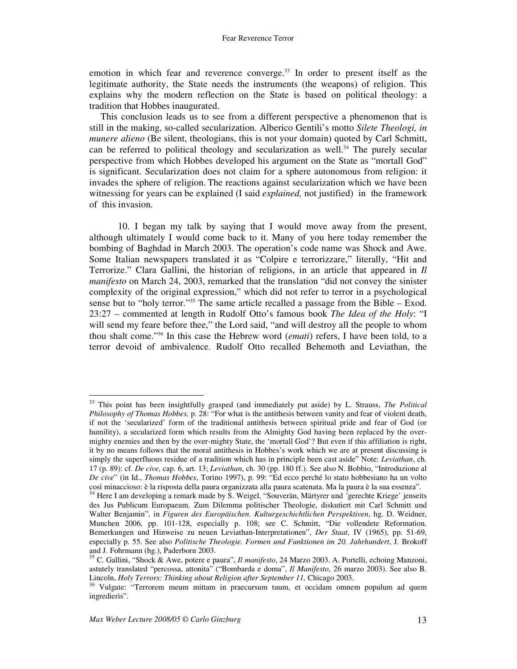emotion in which fear and reverence converge. 33 In order to present itself as the legitimate authority, the State needs the instruments (the weapons) of religion. This explains why the modern reflection on the State is based on political theology: a tradition that Hobbes inaugurated.

This conclusion leads us to see from a different perspective a phenomenon that is still in the making, so-called secularization. Alberico Gentili's motto *Silete Theologi, in munere alieno* (Be silent, theologians, this is not your domain) quoted by Carl Schmitt, can be referred to political theology and secularization as well. <sup>34</sup> The purely secular perspective from which Hobbes developed his argument on the State as "mortall God" is significant. Secularization does not claim for a sphere autonomous from religion: it invades the sphere of religion. The reactions against secularization which we have been witnessing for years can be explained (I said *explained,* not justified) in the framework of this invasion.

10. I began my talk by saying that I would move away from the present, although ultimately I would come back to it. Many of you here today remember the bombing of Baghdad in March 2003. The operation's code name was Shock and Awe. Some Italian newspapers translated it as "Colpire e terrorizzare," literally, "Hit and Terrorize." Clara Gallini, the historian of religions, in an article that appeared in *Il manifesto* on March 24, 2003, remarked that the translation "did not convey the sinister complexity of the original expression," which did not refer to terror in a psychological sense but to "holy terror." <sup>35</sup> The same article recalled a passage from the Bible – Exod. 23:27 – commented at length in Rudolf Otto's famous book *The Idea of the Holy*: "I will send my feare before thee," the Lord said, "and will destroy all the people to whom thou shalt come." 36 In this case the Hebrew word (*emati*) refers, I have been told, to a terror devoid of ambivalence. Rudolf Otto recalled Behemoth and Leviathan, the

<sup>33</sup> This point has been insightfully grasped (and immediately put aside) by L. Strauss, *The Political Philosophy of Thomas Hobbes,* p. 28: "For what is the antithesis between vanity and fear of violent death, if not the 'secularized' form of the traditional antithesis between spiritual pride and fear of God (or humility), a secularized form which results from the Almighty God having been replaced by the overmighty enemies and then by the over-mighty State, the 'mortall God'? But even if this affiliation is right, it by no means follows that the moral antithesis in Hobbes's work which we are at present discussing is simply the superfluous residue of a tradition which has in principle been cast aside" Note: *Leviathan*, ch. 17 (p. 89): cf. *De cive,* cap. 6, art. 13; *Leviathan*, ch. 30 (pp. 180 ff.). See also N. Bobbio, "Introduzione al *De cive*" (in Id., *Thomas Hobbes*, Torino 1997), p. 99: "Ed ecco perché lo stato hobbesiano ha un volto così minaccioso: è la risposta della paura organizzata alla paura scatenata. Ma la paura è la sua essenza".

<sup>34</sup> Here I am developing a remark made by S. Weigel, "Souverän, Märtyrer und ´gerechte Kriege' jenseits des Jus Publicum Europaeum. Zum Dilemma politischer Theologie, diskutiert mit Carl Schmitt und Walter Benjamin", in *Figuren des Europäischen. Kulturgeschichtlichen Perspektiven*, hg. D. Weidner, Munchen 2006, pp. 101-128, especially p. 108; see C. Schmitt, "Die vollendete Reformation. Bemerkungen und Hinweise zu neuen Leviathan-Interpretationen", *Der Staat*, IV (1965), pp. 51-69, especially p. 55. See also *Politische Theologie. Formen und Funktionen im 20. Jahrhundert*, J. Brokoff and J. Fohrmann (hg.), Paderborn 2003.

<sup>35</sup> C. Gallini, "Shock & Awe, potere e paura", *Il manifesto*, 24 Marzo 2003. A. Portelli, echoing Manzoni, astutely translated "percossa, attonita" ("Bombarda e doma", *Il Manifesto*, 26 marzo 2003). See also B. Lincoln, *Holy Terrors: Thinking about Religion after September 11,* Chicago 2003.

<sup>&</sup>lt;sup>36</sup> Vulgate: "Terrorem meum mittam in praecursum tuum, et occidam omnem populum ad quem ingredieris".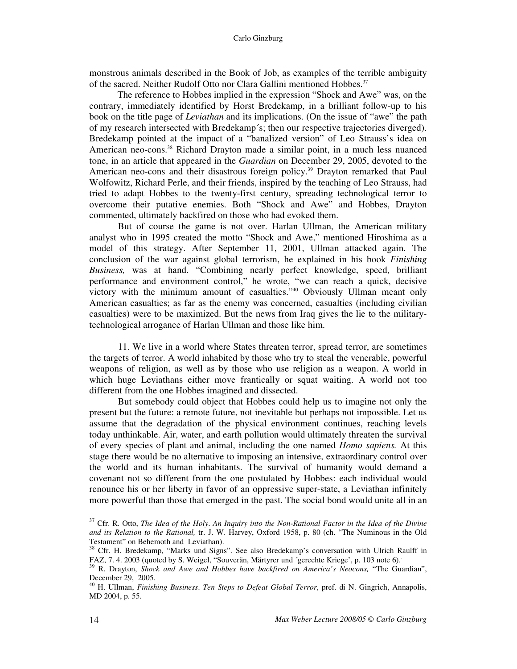monstrous animals described in the Book of Job, as examples of the terrible ambiguity of the sacred. Neither Rudolf Otto nor Clara Gallini mentioned Hobbes.<sup>37</sup>

The reference to Hobbes implied in the expression "Shock and Awe" was, on the contrary, immediately identified by Horst Bredekamp, in a brilliant follow-up to his book on the title page of *Leviathan* and its implications. (On the issue of "awe" the path of my research intersected with Bredekamp´s; then our respective trajectories diverged). Bredekamp pointed at the impact of a "banalized version" of Leo Strauss's idea on American neo-cons. <sup>38</sup> Richard Drayton made a similar point, in a much less nuanced tone, in an article that appeared in the *Guardian* on December 29, 2005, devoted to the American neo-cons and their disastrous foreign policy. <sup>39</sup> Drayton remarked that Paul Wolfowitz, Richard Perle, and their friends, inspired by the teaching of Leo Strauss, had tried to adapt Hobbes to the twenty-first century, spreading technological terror to overcome their putative enemies. Both "Shock and Awe" and Hobbes, Drayton commented, ultimately backfired on those who had evoked them.

But of course the game is not over. Harlan Ullman, the American military analyst who in 1995 created the motto "Shock and Awe," mentioned Hiroshima as a model of this strategy. After September 11, 2001, Ullman attacked again. The conclusion of the war against global terrorism, he explained in his book *Finishing Business,* was at hand. "Combining nearly perfect knowledge, speed, brilliant performance and environment control," he wrote, "we can reach a quick, decisive victory with the minimum amount of casualties." <sup>40</sup> Obviously Ullman meant only American casualties; as far as the enemy was concerned, casualties (including civilian casualties) were to be maximized. But the news from Iraq gives the lie to the militarytechnological arrogance of Harlan Ullman and those like him.

11. We live in a world where States threaten terror, spread terror, are sometimes the targets of terror. A world inhabited by those who try to steal the venerable, powerful weapons of religion, as well as by those who use religion as a weapon. A world in which huge Leviathans either move frantically or squat waiting. A world not too different from the one Hobbes imagined and dissected.

But somebody could object that Hobbes could help us to imagine not only the present but the future: a remote future, not inevitable but perhaps not impossible. Let us assume that the degradation of the physical environment continues, reaching levels today unthinkable. Air, water, and earth pollution would ultimately threaten the survival of every species of plant and animal, including the one named *Homo sapiens.* At this stage there would be no alternative to imposing an intensive, extraordinary control over the world and its human inhabitants. The survival of humanity would demand a covenant not so different from the one postulated by Hobbes: each individual would renounce his or her liberty in favor of an oppressive super-state, a Leviathan infinitely more powerful than those that emerged in the past. The social bond would unite all in an

<sup>37</sup> Cfr. R. Otto, *The Idea of the Holy*. *An Inquiry into the Non-Rational Factor in the Idea of the Divine and its Relation to the Rational,* tr. J. W. Harvey, Oxford 1958, p. 80 (ch. "The Numinous in the Old Testament" on Behemoth and Leviathan).

<sup>&</sup>lt;sup>38</sup> Cfr. H. Bredekamp, "Marks und Signs". See also Bredekamp's conversation with Ulrich Raulff in FAZ, 7. 4. 2003 (quoted by S. Weigel, "Souverän, Märtyrer und ´gerechte Kriege', p. 103 note 6). .

<sup>39</sup> R. Drayton, *Shock and Awe and Hobbes have backfired on America's Neocons,* "The Guardian", December 29, 2005.

<sup>40</sup> H. Ullman, *Finishing Business*. *Ten Steps to Defeat Global Terror*, pref. di N. Gingrich, Annapolis, MD 2004, p. 55.